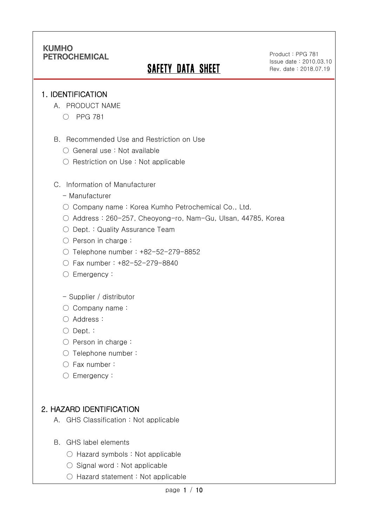# **SAFETY DATA SHEET**

Product : PPG 781 Issue date : 2010.03.10 Rev. date : 2018.07.19

#### 1. IDENTIFICATION

Ī

- A. PRODUCT NAME
	- PPG 781
- B. Recommended Use and Restriction on Use
	- General use : Not available
	- Restriction on Use : Not applicable
- C. Information of Manufacturer
	- Manufacturer
	- Company name: Korea Kumho Petrochemical Co., Ltd.
	- Address : 260-257, Cheoyong-ro, Nam-Gu, Ulsan, 44785, Korea
	- Dept. : Quality Assurance Team
	- Person in charge :
	- Telephone number : +82-52-279-8852
	- Fax number : +82-52-279-8840
	- Emergency:
	- Supplier / distributor
	- Company name:
	- Address :
	- Dept. :
	- Person in charge :
	- Telephone number :
	- Fax number :
	- Emergency:

### 2. HAZARD IDENTIFICATION

- A. GHS Classification : Not applicable
- B. GHS label elements
	- Hazard symbols : Not applicable
	- Signal word : Not applicable
	- Hazard statement : Not applicable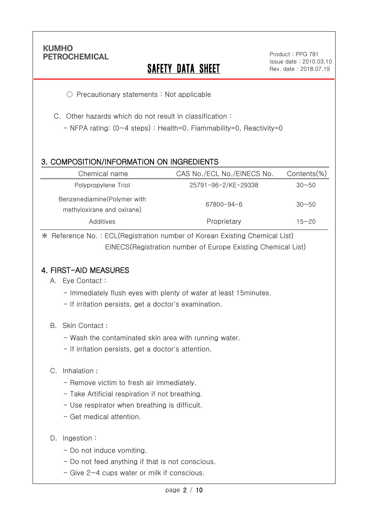Ī

# **SAFETY DATA SHEET**

○ Precautionary statements : Not applicable

C. Other hazards which do not result in classification :

- NFPA rating: (0~4 steps) : Health=0, Flammability=0, Reactivity=0

### 3. COMPOSITION/INFORMATION ON INGREDIENTS

| Chemical name                                             | CAS No./ECL No./EINECS No. | Contents(%) |
|-----------------------------------------------------------|----------------------------|-------------|
| Polypropylene Triol                                       | 25791-96-2/KE-29338        | $30 - 50$   |
| Benzenediamine(Polymer with<br>methyloxirane and oxirane) | 67800-94-6                 | $30 - 50$   |
| Additives                                                 | Proprietary                | 15~20       |

※ Reference No. : ECL(Registration number of Korean Existing Chemical List) EINECS(Registration number of Europe Existing Chemical List)

### 4. FIRST-AID MEASURES

- A. Eye Contact :
	- Immediately flush eyes with plenty of water at least 15minutes.
	- If irritation persists, get a doctor's examination.
- B. Skin Contact :
	- Wash the contaminated skin area with running water.
	- If irritation persists, get a doctor's attention.

#### C. Inhalation :

- Remove victim to fresh air immediately.
- Take Artificial respiration if not breathing.
- Use respirator when breathing is difficult.
- Get medical attention.
- D. Ingestion :
	- Do not induce vomiting.
	- Do not feed anything if that is not conscious.
	- Give 2~4 cups water or milk if conscious.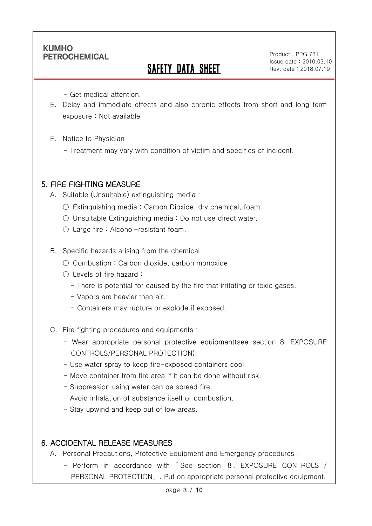Ī

# SAFETY DATA SHEET

Product : PPG 781 Issue date : 2010.03.10 Rev. date : 2018.07.19

- Get medical attention.

- E. Delay and immediate effects and also chronic effects from short and long term exposure : Not available
- F. Notice to Physician :
	- Treatment may vary with condition of victim and specifics of incident.

### 5. FIRE FIGHTING MEASURE

A. Suitable (Unsuitable) extinguishing media :

- $\circ$  Extinguishing media: Carbon Dioxide, dry chemical, foam.
- Unsuitable Extinguishing media : Do not use direct water.
- $\bigcirc$  Large fire : Alcohol-resistant foam.

B. Specific hazards arising from the chemical

- Combustion: Carbon dioxide, carbon monoxide
- Levels of fire hazard :
	- There is potential for caused by the fire that irritating or toxic gases.
	- Vapors are heavier than air.
	- Containers may rupture or explode if exposed.
- C. Fire fighting procedures and equipments :
	- Wear appropriate personal protective equipment(see section 8. EXPOSURE CONTROLS/PERSONAL PROTECTION).
	- Use water spray to keep fire-exposed containers cool.
	- Move container from fire area if it can be done without risk.
	- Suppression using water can be spread fire.
	- Avoid inhalation of substance itself or combustion.
	- Stay upwind and keep out of low areas.

## 6. ACCIDENTAL RELEASE MEASURES

- A. Personal Precautions, Protective Equipment and Emergency procedures :
	- Perform in accordance with 「 See section 8. EXPOSURE CONTROLS / PERSONAL PROTECTION」. Put on appropriate personal protective equipment.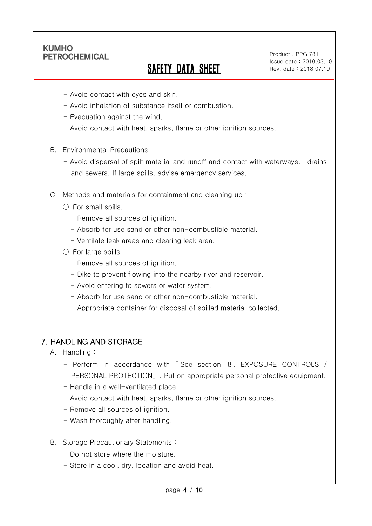Ī

# SAFETY DATA SHEET

Product : PPG 781 Issue date : 2010.03.10 Rev. date : 2018.07.19

- Avoid contact with eyes and skin.
- Avoid inhalation of substance itself or combustion.
- Evacuation against the wind.
- Avoid contact with heat, sparks, flame or other ignition sources.
- B. Environmental Precautions
	- Avoid dispersal of spilt material and runoff and contact with waterways, drains and sewers. If large spills, advise emergency services.
- C. Methods and materials for containment and cleaning up :
	- $\bigcirc$  For small spills.
		- Remove all sources of ignition.
		- Absorb for use sand or other non-combustible material.
		- Ventilate leak areas and clearing leak area.
	- $\bigcirc$  For large spills.
		- Remove all sources of ignition.
		- Dike to prevent flowing into the nearby river and reservoir.
		- Avoid entering to sewers or water system.
		- Absorb for use sand or other non-combustible material.
		- Appropriate container for disposal of spilled material collected.

### 7. HANDLING AND STORAGE

- A. Handling :
	- Perform in accordance with 「 See section 8. EXPOSURE CONTROLS / PERSONAL PROTECTION」. Put on appropriate personal protective equipment.
	- Handle in a well-ventilated place.
	- Avoid contact with heat, sparks, flame or other ignition sources.
	- Remove all sources of ignition.
	- Wash thoroughly after handling.
- B. Storage Precautionary Statements :
	- Do not store where the moisture.
	- Store in a cool, dry, location and avoid heat.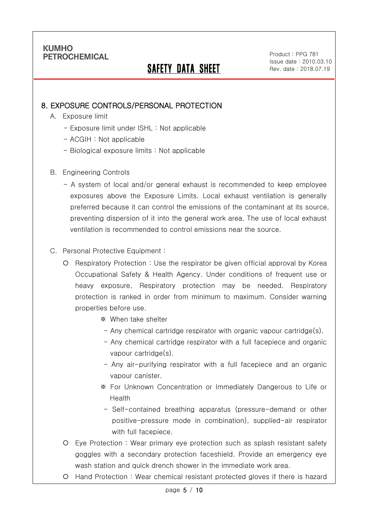Ī

# SAFETY DATA SHEET

Product : PPG 781 Issue date : 2010.03.10 Rev. date : 2018.07.19

### 8. EXPOSURE CONTROLS/PERSONAL PROTECTION

- A. Exposure limit
	- Exposure limit under ISHL : Not applicable
	- ACGIH : Not applicable
	- Biological exposure limits : Not applicable
- B. Engineering Controls
	- A system of local and/or general exhaust is recommended to keep employee exposures above the Exposure Limits. Local exhaust ventilation is generally preferred because it can control the emissions of the contaminant at its source, preventing dispersion of it into the general work area. The use of local exhaust ventilation is recommended to control emissions near the source.

#### C. Personal Protective Equipment :

- O Respiratory Protection : Use the respirator be given official approval by Korea Occupational Safety & Health Agency. Under conditions of frequent use or heavy exposure, Respiratory protection may be needed. Respiratory protection is ranked in order from minimum to maximum. Consider warning properties before use.
	- ※ When take shelter
	- Any chemical cartridge respirator with organic vapour cartridge(s).
	- Any chemical cartridge respirator with a full facepiece and organic vapour cartridge(s).
	- Any air-purifying respirator with a full facepiece and an organic vapour canister.
	- ※ For Unknown Concentration or Immediately Dangerous to Life or Health
	- Self-contained breathing apparatus (pressure-demand or other positive-pressure mode in combination), supplied-air respirator with full facepiece.
- Eye Protection : Wear primary eye protection such as splash resistant safety goggles with a secondary protection faceshield. Provide an emergency eye wash station and quick drench shower in the immediate work area.
- Hand Protection : Wear chemical resistant protected gloves if there is hazard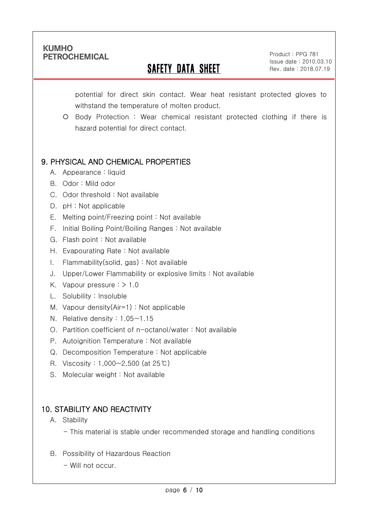Ī

# SAFETY DATA SHEET

Product : PPG 781 Issue date : 2010.03.10 Rev. date : 2018.07.19

potential for direct skin contact. Wear heat resistant protected gloves to withstand the temperature of molten product.

 Body Protection : Wear chemical resistant protected clothing if there is hazard potential for direct contact.

## 9. PHYSICAL AND CHEMICAL PROPERTIES

- A. Appearance : liquid
- B. Odor : Mild odor
- C. Odor threshold : Not available
- D. pH : Not applicable
- E. Melting point/Freezing point : Not available
- F. Initial Boiling Point/Boiling Ranges : Not available
- G. Flash point : Not available
- H. Evapourating Rate : Not available
- I. Flammability(solid, gas) : Not available
- J. Upper/Lower Flammability or explosive limits : Not available
- K. Vapour pressure : > 1.0
- L. Solubility : Insoluble
- M. Vapour density(Air=1) : Not applicable
- N. Relative density : 1.05~1.15
- O. Partition coefficient of n-octanol/water : Not available
- P. Autoignition Temperature : Not available
- Q. Decomposition Temperature : Not applicable
- R. Viscosity : 1,000~2,500 (at 25℃)
- S. Molecular weight : Not available

## 10. STABILITY AND REACTIVITY

A. Stability

- This material is stable under recommended storage and handling conditions

- B. Possibility of Hazardous Reaction
	- Will not occur.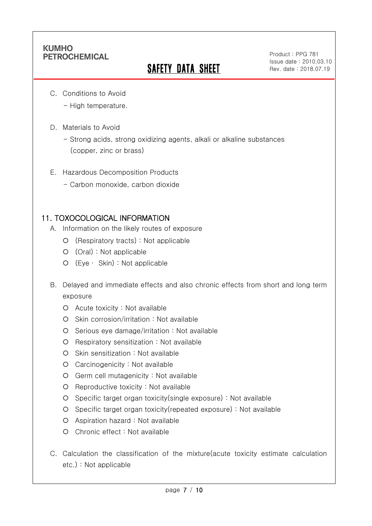Ī

# **SAFETY DATA SHEET**

Product : PPG 781 Issue date : 2010.03.10 Rev. date : 2018.07.19

- C. Conditions to Avoid
	- High temperature.
- D. Materials to Avoid
	- Strong acids, strong oxidizing agents, alkali or alkaline substances (copper, zinc or brass)
- E. Hazardous Decomposition Products
	- Carbon monoxide, carbon dioxide

### 11. TOXOCOLOGICAL INFORMATION

- A. Information on the likely routes of exposure
	- (Respiratory tracts) : Not applicable
	- (Oral) : Not applicable
	- (Eye ∙ Skin) : Not applicable
- B. Delayed and immediate effects and also chronic effects from short and long term exposure
	- Acute toxicity : Not available
	- O Skin corrosion/irritation : Not available
	- Serious eye damage/irritation : Not available
	- Respiratory sensitization : Not available
	- $O$  Skin sensitization : Not available
	- Carcinogenicity : Not available
	- Germ cell mutagenicity : Not available
	- O Reproductive toxicity : Not available
	- Specific target organ toxicity(single exposure) : Not available
	- Specific target organ toxicity(repeated exposure) : Not available
	- Aspiration hazard : Not available
	- Chronic effect : Not available
- C. Calculation the classification of the mixture(acute toxicity estimate calculation etc.) : Not applicable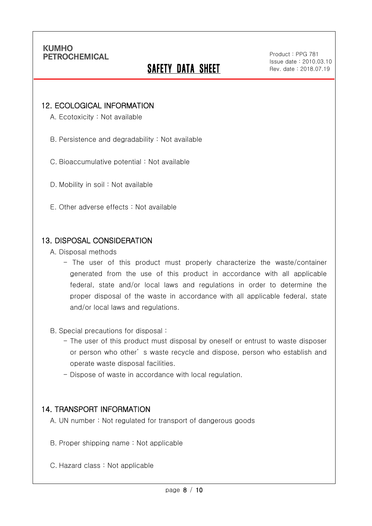Ī

# **SAFETY DATA SHEET**

Product : PPG 781 Issue date : 2010.03.10 Rev. date : 2018.07.19

#### 12. ECOLOGICAL INFORMATION

A. Ecotoxicity : Not available

B. Persistence and degradability : Not available

C. Bioaccumulative potential : Not available

D. Mobility in soil : Not available

E. Other adverse effects : Not available

#### 13. DISPOSAL CONSIDERATION

A. Disposal methods

- The user of this product must properly characterize the waste/container generated from the use of this product in accordance with all applicable federal, state and/or local laws and regulations in order to determine the proper disposal of the waste in accordance with all applicable federal, state and/or local laws and regulations.

B. Special precautions for disposal :

- The user of this product must disposal by oneself or entrust to waste disposer or person who other' s waste recycle and dispose, person who establish and operate waste disposal facilities.
- Dispose of waste in accordance with local regulation.

#### 14. TRANSPORT INFORMATION

A. UN number : Not regulated for transport of dangerous goods

- B. Proper shipping name : Not applicable
- C. Hazard class : Not applicable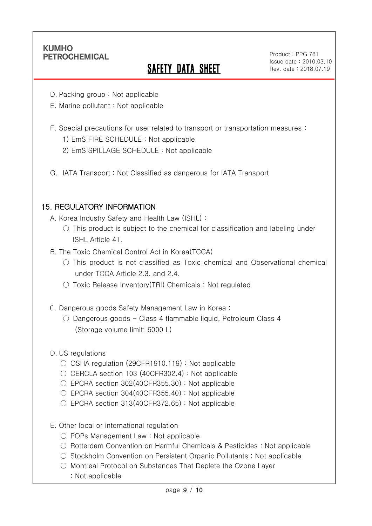Ī

# **SAFETY DATA SHEET**

Product : PPG 781 Issue date : 2010.03.10 Rev. date : 2018.07.19

- D. Packing group : Not applicable
- E. Marine pollutant : Not applicable
- F. Special precautions for user related to transport or transportation measures :
	- 1) EmS FIRE SCHEDULE : Not applicable
	- 2) EmS SPILLAGE SCHEDULE : Not applicable
- G. IATA Transport : Not Classified as dangerous for IATA Transport

#### 15. REGULATORY INFORMATION

- A. Korea Industry Safety and Health Law (ISHL) :
	- $\circ$  This product is subject to the chemical for classification and labeling under ISHL Article 41.
- B. The Toxic Chemical Control Act in Korea(TCCA)
	- $\circ$  This product is not classified as Toxic chemical and Observational chemical under TCCA Article 2.3. and 2.4.
	- Toxic Release Inventory(TRI) Chemicals : Not regulated
- C. Dangerous goods Safety Management Law in Korea :
	- Dangerous goods Class 4 flammable liquid, Petroleum Class 4 (Storage volume limit: 6000 L)
- D. US regulations
	- OSHA regulation (29CFR1910.119) : Not applicable
	- CERCLA section 103 (40CFR302.4) : Not applicable
	- EPCRA section 302(40CFR355.30): Not applicable
	- EPCRA section 304(40CFR355.40): Not applicable
	- $\circ$  EPCRA section 313(40CFR372.65) : Not applicable
- E. Other local or international regulation
	- POPs Management Law : Not applicable
	- Rotterdam Convention on Harmful Chemicals & Pesticides : Not applicable
	- Stockholm Convention on Persistent Organic Pollutants : Not applicable
	- Montreal Protocol on Substances That Deplete the Ozone Layer
		- : Not applicable